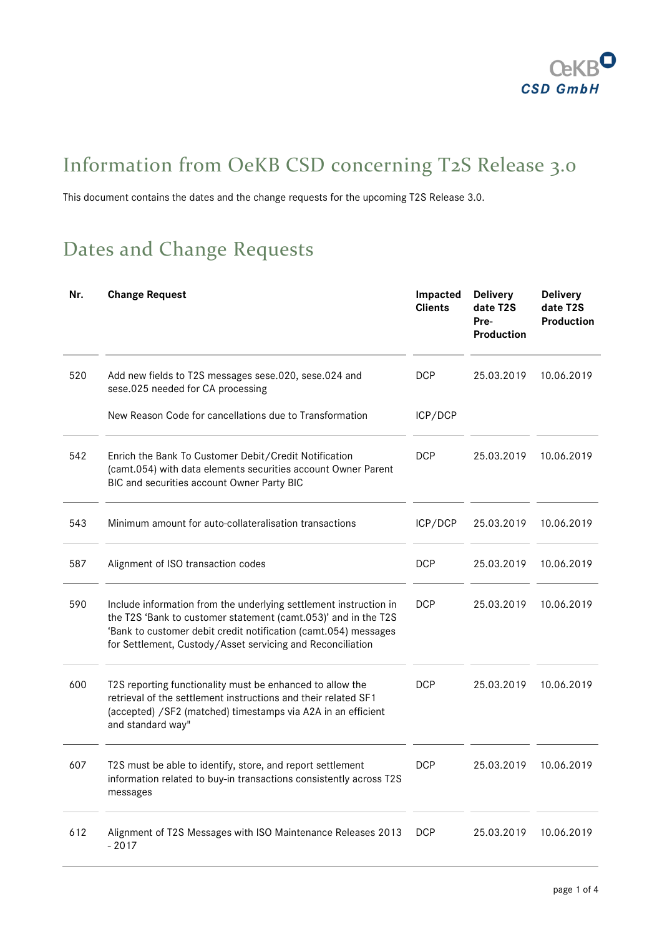

# Information from OeKB CSD concerning T2S Release 3.0

This document contains the dates and the change requests for the upcoming T2S Release 3.0.

# Dates and Change Requests

| Nr. | <b>Change Request</b>                                                                                                                                                                                                                                                | Impacted<br><b>Clients</b> | <b>Delivery</b><br>date T2S<br>Pre-<br><b>Production</b> | <b>Delivery</b><br>date T2S<br>Production |
|-----|----------------------------------------------------------------------------------------------------------------------------------------------------------------------------------------------------------------------------------------------------------------------|----------------------------|----------------------------------------------------------|-------------------------------------------|
| 520 | Add new fields to T2S messages sese.020, sese.024 and<br>sese.025 needed for CA processing                                                                                                                                                                           | <b>DCP</b>                 | 25.03.2019                                               | 10.06.2019                                |
|     | New Reason Code for cancellations due to Transformation                                                                                                                                                                                                              | ICP/DCP                    |                                                          |                                           |
| 542 | Enrich the Bank To Customer Debit/Credit Notification<br>(camt.054) with data elements securities account Owner Parent<br>BIC and securities account Owner Party BIC                                                                                                 | DCP                        | 25.03.2019                                               | 10.06.2019                                |
| 543 | Minimum amount for auto-collateralisation transactions                                                                                                                                                                                                               | ICP/DCP                    | 25.03.2019                                               | 10.06.2019                                |
| 587 | Alignment of ISO transaction codes                                                                                                                                                                                                                                   | <b>DCP</b>                 | 25.03.2019                                               | 10.06.2019                                |
| 590 | Include information from the underlying settlement instruction in<br>the T2S 'Bank to customer statement (camt.053)' and in the T2S<br>'Bank to customer debit credit notification (camt.054) messages<br>for Settlement, Custody/Asset servicing and Reconciliation | <b>DCP</b>                 | 25.03.2019                                               | 10.06.2019                                |
| 600 | T2S reporting functionality must be enhanced to allow the<br>retrieval of the settlement instructions and their related SF1<br>(accepted) / SF2 (matched) timestamps via A2A in an efficient<br>and standard way"                                                    | <b>DCP</b>                 | 25.03.2019                                               | 10.06.2019                                |
| 607 | T2S must be able to identify, store, and report settlement<br>information related to buy-in transactions consistently across T2S<br>messages                                                                                                                         | <b>DCP</b>                 | 25.03.2019                                               | 10.06.2019                                |
| 612 | Alignment of T2S Messages with ISO Maintenance Releases 2013<br>$-2017$                                                                                                                                                                                              | <b>DCP</b>                 | 25.03.2019                                               | 10.06.2019                                |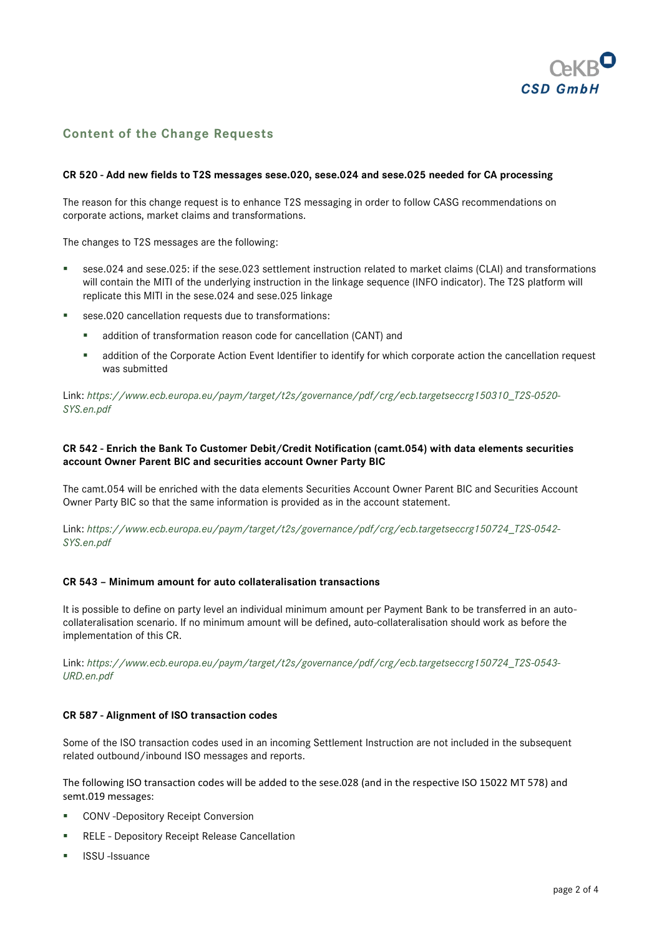

# **Content of the Change Requests**

#### **CR 520 - Add new fields to T2S messages sese.020, sese.024 and sese.025 needed for CA processing**

The reason for this change request is to enhance T2S messaging in order to follow CASG recommendations on corporate actions, market claims and transformations.

The changes to T2S messages are the following:

- sese.024 and sese.025: if the sese.023 settlement instruction related to market claims (CLAI) and transformations will contain the MITI of the underlying instruction in the linkage sequence (INFO indicator). The T2S platform will replicate this MITI in the sese.024 and sese.025 linkage
- sese.020 cancellation requests due to transformations:
	- addition of transformation reason code for cancellation (CANT) and
	- addition of the Corporate Action Event Identifier to identify for which corporate action the cancellation request was submitted

Link: *[https://www.ecb.europa.eu/paym/target/t2s/governance/pdf/crg/ecb.targetseccrg150310\\_T2S-0520-](https://www.ecb.europa.eu/paym/target/t2s/governance/pdf/crg/ecb.targetseccrg150310_T2S-0520-SYS.en.pdf) [SYS.en.pdf](https://www.ecb.europa.eu/paym/target/t2s/governance/pdf/crg/ecb.targetseccrg150310_T2S-0520-SYS.en.pdf)*

### **CR 542 - Enrich the Bank To Customer Debit/Credit Notification (camt.054) with data elements securities account Owner Parent BIC and securities account Owner Party BIC**

The camt.054 will be enriched with the data elements Securities Account Owner Parent BIC and Securities Account Owner Party BIC so that the same information is provided as in the account statement.

Link: *[https://www.ecb.europa.eu/paym/target/t2s/governance/pdf/crg/ecb.targetseccrg150724\\_T2S-0542-](https://www.ecb.europa.eu/paym/target/t2s/governance/pdf/crg/ecb.targetseccrg150724_T2S-0542-SYS.en.pdf) [SYS.en.pdf](https://www.ecb.europa.eu/paym/target/t2s/governance/pdf/crg/ecb.targetseccrg150724_T2S-0542-SYS.en.pdf)*

#### **CR 543 – Minimum amount for auto collateralisation transactions**

It is possible to define on party level an individual minimum amount per Payment Bank to be transferred in an autocollateralisation scenario. If no minimum amount will be defined, auto-collateralisation should work as before the implementation of this CR.

Link: *[https://www.ecb.europa.eu/paym/target/t2s/governance/pdf/crg/ecb.targetseccrg150724\\_T2S-0543-](https://www.ecb.europa.eu/paym/target/t2s/governance/pdf/crg/ecb.targetseccrg150724_T2S-0543-URD.en.pdf) [URD.en.pdf](https://www.ecb.europa.eu/paym/target/t2s/governance/pdf/crg/ecb.targetseccrg150724_T2S-0543-URD.en.pdf)*

### **CR 587 - Alignment of ISO transaction codes**

Some of the ISO transaction codes used in an incoming Settlement Instruction are not included in the subsequent related outbound/inbound ISO messages and reports.

The following ISO transaction codes will be added to the sese.028 (and in the respective ISO 15022 MT 578) and semt.019 messages:

- **CONV** -Depository Receipt Conversion
- **RELE Depository Receipt Release Cancellation**
- **ISSU**-Issuance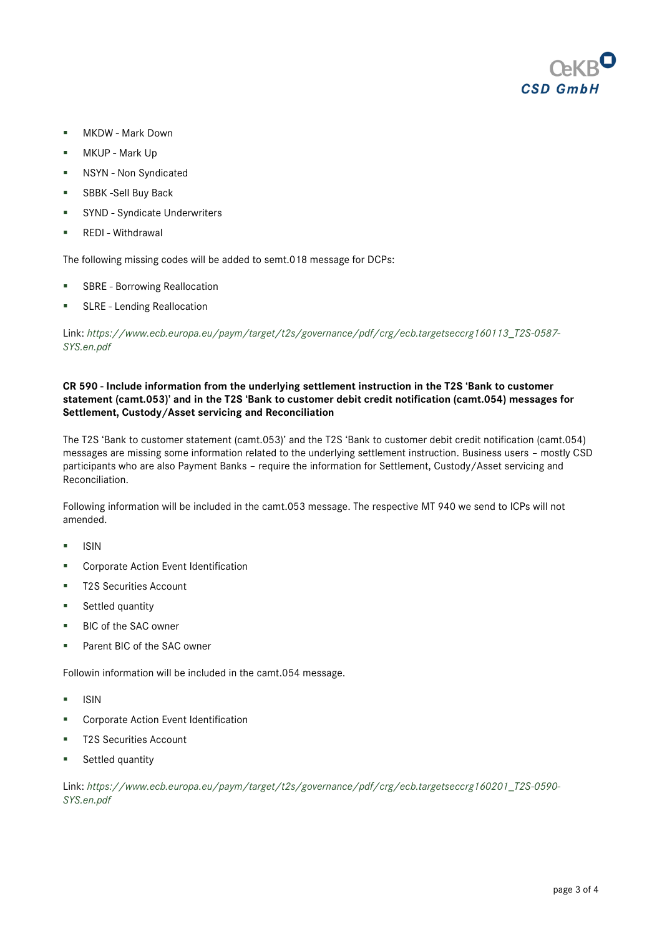

- **MKDW Mark Down**
- **MKUP** Mark Up
- **NSYN** Non Syndicated
- **SBBK-Sell Buy Back**
- SYND Syndicate Underwriters
- **REDI Withdrawal**

The following missing codes will be added to semt.018 message for DCPs:

- **SBRE Borrowing Reallocation**
- SLRE Lending Reallocation

Link: *[https://www.ecb.europa.eu/paym/target/t2s/governance/pdf/crg/ecb.targetseccrg160113\\_T2S-0587-](https://www.ecb.europa.eu/paym/target/t2s/governance/pdf/crg/ecb.targetseccrg160113_T2S-0587-SYS.en.pdf) [SYS.en.pdf](https://www.ecb.europa.eu/paym/target/t2s/governance/pdf/crg/ecb.targetseccrg160113_T2S-0587-SYS.en.pdf)*

## **CR 590 - Include information from the underlying settlement instruction in the T2S 'Bank to customer statement (camt.053)' and in the T2S 'Bank to customer debit credit notification (camt.054) messages for Settlement, Custody/Asset servicing and Reconciliation**

The T2S 'Bank to customer statement (camt.053)' and the T2S 'Bank to customer debit credit notification (camt.054) messages are missing some information related to the underlying settlement instruction. Business users – mostly CSD participants who are also Payment Banks – require the information for Settlement, Custody/Asset servicing and Reconciliation.

Following information will be included in the camt.053 message. The respective MT 940 we send to ICPs will not amended.

- $\blacksquare$  ISIN
- **EXECO CORPORATE:** Corporate Action Event Identification
- T2S Securities Account
- **Settled quantity**
- BIC of the SAC owner
- Parent BIC of the SAC owner

Followin information will be included in the camt.054 message.

- $\blacksquare$  ISIN
- **EXECO CORPORATE:** Corporate Action Event Identification
- T2S Securities Account
- **Settled quantity**

Link: *[https://www.ecb.europa.eu/paym/target/t2s/governance/pdf/crg/ecb.targetseccrg160201\\_T2S-0590-](https://www.ecb.europa.eu/paym/target/t2s/governance/pdf/crg/ecb.targetseccrg160201_T2S-0590-SYS.en.pdf) [SYS.en.pdf](https://www.ecb.europa.eu/paym/target/t2s/governance/pdf/crg/ecb.targetseccrg160201_T2S-0590-SYS.en.pdf)*